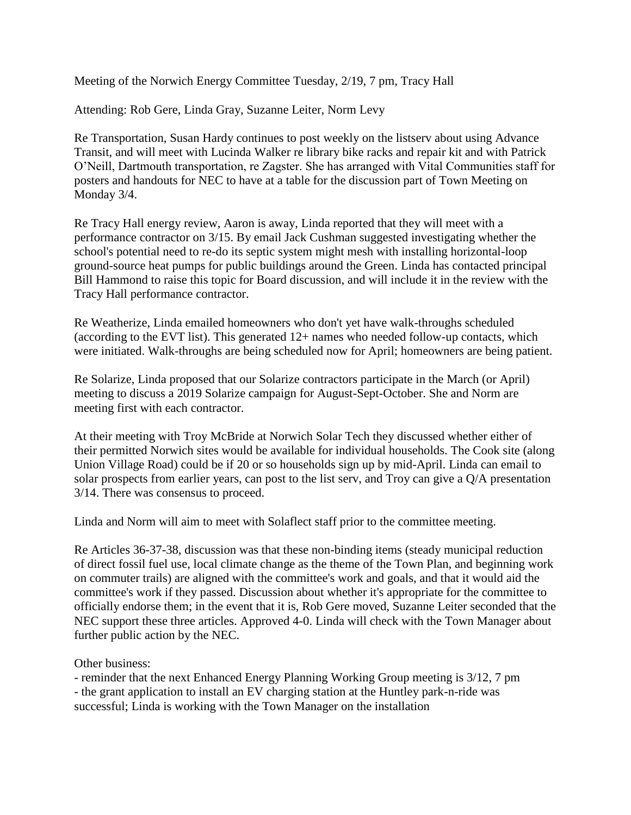Meeting of the Norwich Energy Committee Tuesday, 2/19, 7 pm, Tracy Hall

Attending: Rob Gere, Linda Gray, Suzanne Leiter, Norm Levy

Re Transportation, Susan Hardy continues to post weekly on the listserv about using Advance Transit, and will meet with Lucinda Walker re library bike racks and repair kit and with Patrick O'Neill, Dartmouth transportation, re Zagster. She has arranged with Vital Communities staff for posters and handouts for NEC to have at a table for the discussion part of Town Meeting on Monday 3/4.

Re Tracy Hall energy review, Aaron is away, Linda reported that they will meet with a performance contractor on 3/15. By email Jack Cushman suggested investigating whether the school's potential need to re-do its septic system might mesh with installing horizontal-loop ground-source heat pumps for public buildings around the Green. Linda has contacted principal Bill Hammond to raise this topic for Board discussion, and will include it in the review with the Tracy Hall performance contractor.

Re Weatherize, Linda emailed homeowners who don't yet have walk-throughs scheduled (according to the EVT list). This generated 12+ names who needed follow-up contacts, which were initiated. Walk-throughs are being scheduled now for April; homeowners are being patient.

Re Solarize, Linda proposed that our Solarize contractors participate in the March (or April) meeting to discuss a 2019 Solarize campaign for August-Sept-October. She and Norm are meeting first with each contractor.

At their meeting with Troy McBride at Norwich Solar Tech they discussed whether either of their permitted Norwich sites would be available for individual households. The Cook site (along Union Village Road) could be if 20 or so households sign up by mid-April. Linda can email to solar prospects from earlier years, can post to the list serv, and Troy can give a Q/A presentation 3/14. There was consensus to proceed.

Linda and Norm will aim to meet with Solaflect staff prior to the committee meeting.

Re Articles 36-37-38, discussion was that these non-binding items (steady municipal reduction of direct fossil fuel use, local climate change as the theme of the Town Plan, and beginning work on commuter trails) are aligned with the committee's work and goals, and that it would aid the committee's work if they passed. Discussion about whether it's appropriate for the committee to officially endorse them; in the event that it is, Rob Gere moved, Suzanne Leiter seconded that the NEC support these three articles. Approved 4-0. Linda will check with the Town Manager about further public action by the NEC.

## Other business:

- reminder that the next Enhanced Energy Planning Working Group meeting is 3/12, 7 pm - the grant application to install an EV charging station at the Huntley park-n-ride was successful; Linda is working with the Town Manager on the installation